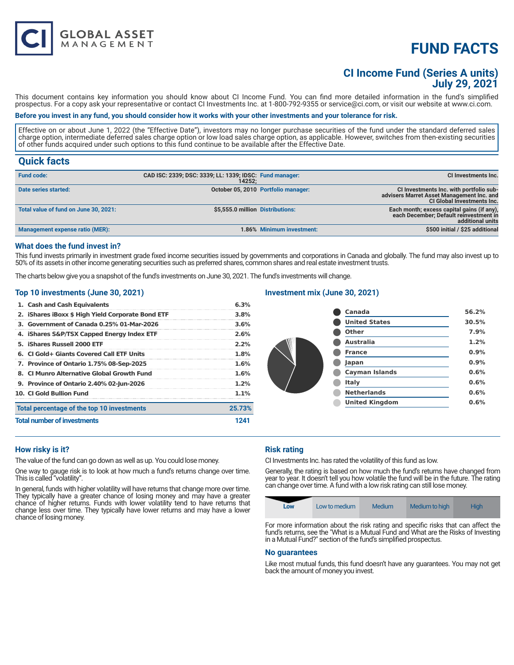# **FUND FACTS**

### **CI Income Fund (Series A units) July 29, 2021**

This document contains key information you should know about CI Income Fund. You can find more detailed information in the fund's simplified prospectus. For a copy ask your representative or contact CI Investments Inc. at 1-800-792-9355 or service@ci.com, or visit our website at www.ci.com.

#### **Before you invest in any fund, you should consider how it works with your other investments and your tolerance for risk.**

Effective on or about June 1, 2022 (the "Effective Date"), investors may no longer purchase securities of the fund under the standard deferred sales charge option, intermediate deferred sales charge option or low load sales charge option, as applicable. However, switches from then-existing securities of other funds acquired under such options to this fund continue to be available after the Effective Date.

### **Quick facts**

| <b>Fund code:</b>                     | CAD ISC: 2339; DSC: 3339; LL: 1339; IDSC: Fund manager:<br>14252: |                                     | <b>CI Investments Inc.</b>                                                                                                |
|---------------------------------------|-------------------------------------------------------------------|-------------------------------------|---------------------------------------------------------------------------------------------------------------------------|
| Date series started:                  |                                                                   | October 05, 2010 Portfolio manager: | CI Investments Inc. with portfolio sub-<br>advisers Marret Asset Management Inc. and<br><b>CI Global Investments Inc.</b> |
| Total value of fund on June 30, 2021: | \$5,555.0 million Distributions:                                  |                                     | Each month; excess capital gains (if any),<br>each December; Default reinvestment in<br>additional units                  |
| Management expense ratio (MER):       |                                                                   | 1.86% Minimum investment:           | \$500 initial / \$25 additional                                                                                           |

#### **What does the fund invest in?**

This fund invests primarily in investment grade fixed income securities issued by governments and corporations in Canada and globally. The fund may also invest up to 50% of its assets in other income generating securities such as preferred shares, common shares and real estate investment trusts.

The charts below give you a snapshot of the fund's investments on June 30, 2021. The fund's investments will change.

#### **Top 10 investments (June 30, 2021)**

**GLOBAL ASSET**<br>MANAGEMENT

| 1. Cash and Cash Equivalents                      | 6.3%    |
|---------------------------------------------------|---------|
| 2. iShares iBoxx \$ High Yield Corporate Bond ETF | 3.8%    |
| 3. Government of Canada 0.25% 01-Mar-2026         | 3.6%    |
| 4. iShares S&P/TSX Capped Energy Index ETF        | 2.6%    |
| 5. iShares Russell 2000 ETF                       | 2.2%    |
| 6. CI Gold+ Giants Covered Call ETF Units         | 1.8%    |
| 7. Province of Ontario 1.75% 08-Sep-2025          | 1.6%    |
| 8. Cl Munro Alternative Global Growth Fund        | 1.6%    |
| 9. Province of Ontario 2.40% 02-Jun-2026          | $1.2\%$ |
| 10. CI Gold Bullion Fund                          | $1.1\%$ |
| Total percentage of the top 10 investments        | 25.73%  |
| <b>Total number of investments</b>                |         |

#### **Investment mix (June 30, 2021)**

| <b>Canada</b>         | 56.2% |
|-----------------------|-------|
| <b>United States</b>  | 30.5% |
| Other                 | 7.9%  |
| <b>Australia</b>      | 1.2%  |
| <b>France</b>         | 0.9%  |
| Japan                 | 0.9%  |
| <b>Cayman Islands</b> | 0.6%  |
| Italy                 | 0.6%  |
| <b>Netherlands</b>    | 0.6%  |
| <b>United Kingdom</b> | 0.6%  |
|                       |       |

#### **How risky is it?**

The value of the fund can go down as well as up. You could lose money.

One way to gauge risk is to look at how much a fund's returns change over time. This is called "volatility".

In general, funds with higher volatility will have returns that change more over time. They typically have a greater chance of losing money and may have a greater chance of higher returns. Funds with lower volatility tend to have returns that change less over time. They typically have lower returns and may have a lower chance of losing money.

#### **Risk rating**

CI Investments Inc. has rated the volatility of this fund as low.

Generally, the rating is based on how much the fund's returns have changed from year to year. It doesn't tell you how volatile the fund will be in the future. The rating can change over time. A fund with a low risk rating can still lose money.



For more information about the risk rating and specific risks that can affect the fund's returns, see the "What is a Mutual Fund and What are the Risks of Investing in a Mutual Fund?" section of the fund's simplified prospectus.

#### **No guarantees**

Like most mutual funds, this fund doesn't have any guarantees. You may not get back the amount of money you invest.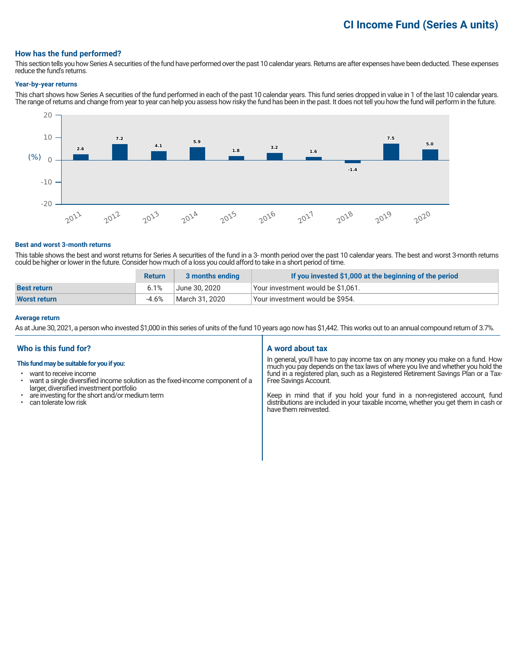## **CI Income Fund (Series A units)**

#### **How has the fund performed?**

This section tells you how Series A securities of the fund have performed over the past 10 calendar years. Returns are after expenses have been deducted. These expenses reduce the fund's returns.

#### **Year-by-year returns**

This chart shows how Series A securities of the fund performed in each of the past 10 calendar years. This fund series dropped in value in 1 of the last 10 calendar years. The range of returns and change from year to year can help you assess how risky the fund has been in the past. It does not tell you how the fund will perform in the future.



#### **Best and worst 3-month returns**

This table shows the best and worst returns for Series A securities of the fund in a 3- month period over the past 10 calendar years. The best and worst 3-month returns could be higher or lower in the future. Consider how much of a loss you could afford to take in a short period of time.

|                     | <b>Return</b> | 3 months ending | If you invested \$1,000 at the beginning of the period |
|---------------------|---------------|-----------------|--------------------------------------------------------|
| <b>Best return</b>  | 6.1%          | June 30. 2020   | Vour investment would be \$1,061.                      |
| <b>Worst return</b> | $-4.6%$       | March 31, 2020  | Your investment would be \$954.                        |

#### **Average return**

As at June 30, 2021, a person who invested \$1,000 in this series of units of the fund 10 years ago now has \$1,442. This works out to an annual compound return of 3.7%.

#### **Who is this fund for?**

#### **This fund may be suitable for you if you:**

- want to receive income<br>• want a single diversified
- want a single diversified income solution as the fixed-income component of a larger, diversified investment portfolio
- are investing for the short and/or medium term<br>• can tolerate low risk
- can tolerate low risk

#### **A word about tax**

In general, you'll have to pay income tax on any money you make on a fund. How much you pay depends on the tax laws of where you live and whether you hold the fund in a registered plan, such as a Registered Retirement Savings Plan or a Tax-Free Savings Account.

Keep in mind that if you hold your fund in a non-registered account, fund distributions are included in your taxable income, whether you get them in cash or have them reinvested.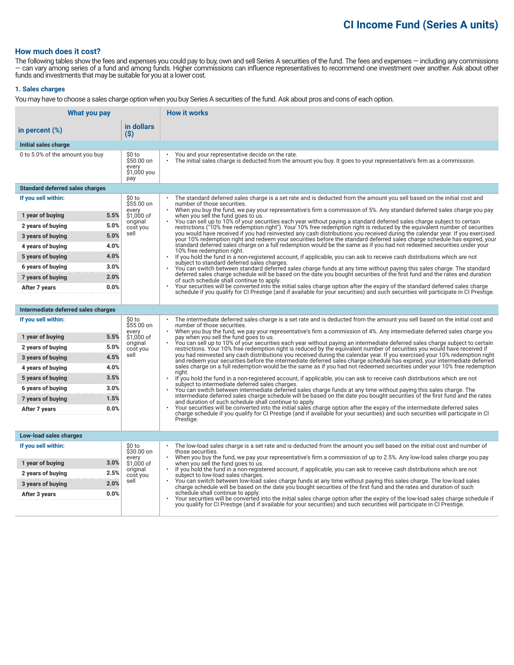# **CI Income Fund (Series A units)**

#### **How much does it cost?**

The following tables show the fees and expenses you could pay to buy, own and sell Series A securities of the fund. The fees and expenses — including any commissions — can vary among series of a fund and among funds. Higher commissions can influence representatives to recommend one investment over another. Ask about other funds and investments that may be suitable for you at a lower cost.

#### **1. Sales charges**

You may have to choose a sales charge option when you buy Series A securities of the fund. Ask about pros and cons of each option.

| What you pay                           |                                                     | <b>How it works</b>                                                                                                                                                                                                                                                                   |  |
|----------------------------------------|-----------------------------------------------------|---------------------------------------------------------------------------------------------------------------------------------------------------------------------------------------------------------------------------------------------------------------------------------------|--|
| in percent $(\%)$                      | in dollars<br>(S)                                   |                                                                                                                                                                                                                                                                                       |  |
| Initial sales charge                   |                                                     |                                                                                                                                                                                                                                                                                       |  |
| 0 to 5.0% of the amount you buy        | \$0 to<br>\$50.00 on<br>every<br>\$1,000 you<br>pay | You and your representative decide on the rate.<br>The initial sales charge is deducted from the amount you buy. It goes to your representative's firm as a commission.                                                                                                               |  |
| <b>Standard deferred sales charges</b> |                                                     |                                                                                                                                                                                                                                                                                       |  |
| If you sell within:                    | \$0 to<br>\$55.00 on                                | The standard deferred sales charge is a set rate and is deducted from the amount you sell based on the initial cost and<br>number of those securities.                                                                                                                                |  |
| 5.5%<br>1 year of buying               | every<br>\$1.000 of                                 | When you buy the fund, we pay your representative's firm a commission of 5%. Any standard deferred sales charge you pay<br>when you sell the fund goes to us.                                                                                                                         |  |
| 5.0%<br>2 years of buying              | original<br>cost you                                | You can sell up to 10% of your securities each year without paying a standard deferred sales charge subject to certain<br>restrictions ("10% free redemption right"). Your 10% free redemption right is reduced by the equivalent number of securities                                |  |
| 5.0%<br>3 years of buying              | sell                                                | you would have received if you had reinvested any cash distributions you received during the calendar year. If you exercised<br>your 10% redemption right and redeem your securities before the standard deferred sales charge schedule has expired, your                             |  |
| 4.0%<br>4 years of buying              |                                                     | standard deferred sales charge on a full redemption would be the same as if you had not redeemed securities under your<br>10% free redemption right.                                                                                                                                  |  |
| 4.0%<br>5 years of buying              |                                                     | $\bullet$<br>If you hold the fund in a non-registered account, if applicable, you can ask to receive cash distributions which are not<br>subject to standard deferred sales charges.                                                                                                  |  |
| 3.0%<br>6 years of buying              |                                                     | You can switch between standard deferred sales charge funds at any time without paying this sales charge. The standard                                                                                                                                                                |  |
| 2.0%<br>7 years of buying              |                                                     | deferred sales charge schedule will be based on the date you bought securities of the first fund and the rates and duration<br>of such schedule shall continue to apply.                                                                                                              |  |
| 0.0%<br>After 7 years                  |                                                     | Your securities will be converted into the initial sales charge option after the expiry of the standard deferred sales charge<br>schedule if you qualify for CI Prestige (and if available for your securities) and such securities will participate in CI Prestige.                  |  |
|                                        |                                                     |                                                                                                                                                                                                                                                                                       |  |
| Intermediate deferred sales charges    |                                                     |                                                                                                                                                                                                                                                                                       |  |
| If you sell within:                    | \$0 to<br>\$55.00 on<br>every                       | The intermediate deferred sales charge is a set rate and is deducted from the amount you sell based on the initial cost and<br>number of those securities.<br>When you buy the fund, we pay your representative's firm a commission of 4%. Any intermediate deferred sales charge you |  |
| 5.5%<br>1 year of buying               | \$1,000 of                                          | pay when you sell the fund goes to us.                                                                                                                                                                                                                                                |  |
| 5.0%<br>2 years of buying              | original<br>cost you                                | You can sell up to 10% of your securities each year without paying an intermediate deferred sales charge subject to certain<br>restrictions. Your 10% free redemption right is reduced by the equivalent number of securities you would have received if                              |  |
| 4.5%<br>3 years of buying              | sell                                                | you had reinvested any cash distributions you received during the calendar year. If you exercised your 10% redemption right<br>and redeem your securities before the intermediate deferred sales charge schedule has expired, your intermediate deferred                              |  |
| 4.0%<br>4 years of buying              |                                                     | sales charge on a full redemption would be the same as if you had not redeemed securities under your 10% free redemption<br>riaht.                                                                                                                                                    |  |
| 3.5%<br>5 years of buying              |                                                     | If you hold the fund in a non-registered account, if applicable, you can ask to receive cash distributions which are not<br>subject to intermediate deferred sales charges.                                                                                                           |  |
| 3.0%<br>6 years of buying              |                                                     | You can switch between intermediate deferred sales charge funds at any time without paying this sales charge. The<br>intermediate deferred sales charge schedule will be based on the date you bought securities of the first fund and the rates                                      |  |
| 7 years of buying<br>1.5%              |                                                     | and duration of such schedule shall continue to apply.                                                                                                                                                                                                                                |  |
| 0.0%<br>After 7 years                  |                                                     | Your securities will be converted into the initial sales charge option after the expiry of the intermediate deferred sales<br>charge schedule if you qualify for CI Prestige (and if available for your securities) and such securities will participate in CI                        |  |
|                                        |                                                     | Prestige.                                                                                                                                                                                                                                                                             |  |
| Low-load sales charges                 |                                                     |                                                                                                                                                                                                                                                                                       |  |
| If you sell within:                    | \$0 to<br>\$30.00 on                                | The low-load sales charge is a set rate and is deducted from the amount you sell based on the initial cost and number of                                                                                                                                                              |  |
| 3.0%                                   | every                                               | those securities.<br>When you buy the fund, we pay your representative's firm a commission of up to 2.5%. Any low-load sales charge you pay                                                                                                                                           |  |
| 1 year of buying<br>2.5%               | \$1,000 of<br>original                              | when you sell the fund goes to us.<br>If you hold the fund in a non-registered account, if applicable, you can ask to receive cash distributions which are not                                                                                                                        |  |
| 2 years of buying<br>2.0%              | cost you<br>sell                                    | subject to low-load sales charges.<br>You can switch between low-load sales charge funds at any time without paying this sales charge. The low-load sales                                                                                                                             |  |
| 3 years of buying<br>0.0%              |                                                     | charge schedule will be based on the date you bought securities of the first fund and the rates and duration of such<br>schedule shall continue to apply.                                                                                                                             |  |
| After 3 years                          |                                                     | Your securities will be converted into the initial sales charge option after the expiry of the low-load sales charge schedule if<br>you qualify for CI Prestige (and if available for your securities) and such securities will participate in CI Prestige.                           |  |